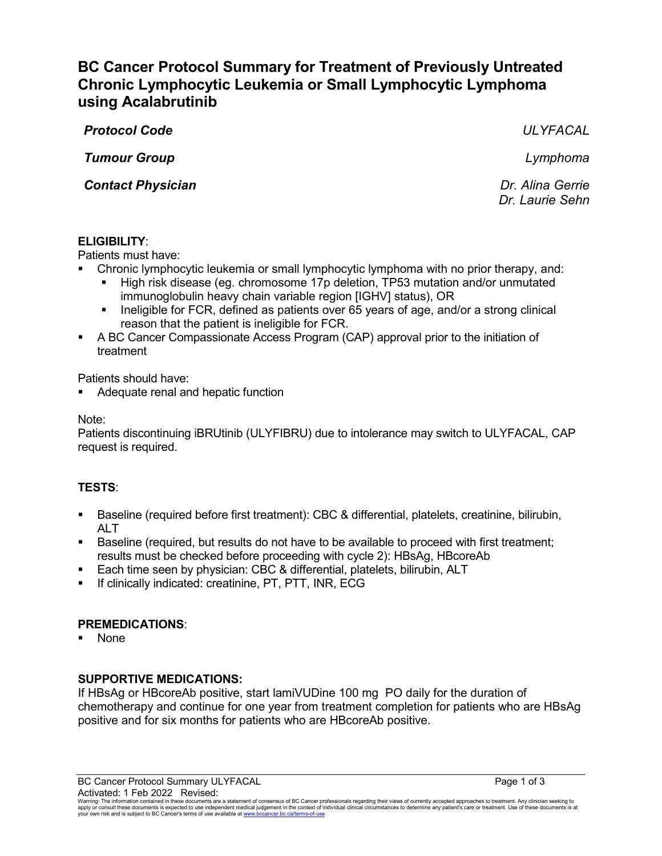# **BC Cancer Protocol Summary for Treatment of Previously Untreated Chronic Lymphocytic Leukemia or Small Lymphocytic Lymphoma using Acalabrutinib**

*Protocol Code ULYFACAL*

*Tumour Group Lymphoma*

**Contact Physician** *Contact Physician Dr. Alina Gerrie* 

*Dr. Laurie Sehn*

# **ELIGIBILITY**:

Patients must have:

- Chronic lymphocytic leukemia or small lymphocytic lymphoma with no prior therapy, and:
	- High risk disease (eg. chromosome 17p deletion, TP53 mutation and/or unmutated immunoglobulin heavy chain variable region [IGHV] status), OR
	- **IDED** 10 Ineligible for FCR, defined as patients over 65 years of age, and/or a strong clinical reason that the patient is ineligible for FCR.
- A BC Cancer Compassionate Access Program (CAP) approval prior to the initiation of treatment

Patients should have:

Adequate renal and hepatic function

Note:

Patients discontinuing iBRUtinib (ULYFIBRU) due to intolerance may switch to ULYFACAL, CAP request is required.

# **TESTS**:

- Baseline (required before first treatment): CBC & differential, platelets, creatinine, bilirubin, AI T
- Baseline (required, but results do not have to be available to proceed with first treatment; results must be checked before proceeding with cycle 2): HBsAg, HBcoreAb
- Each time seen by physician: CBC & differential, platelets, bilirubin, ALT
- If clinically indicated: creatinine, PT, PTT, INR, ECG

## **PREMEDICATIONS**:

None

## **SUPPORTIVE MEDICATIONS:**

If HBsAg or HBcoreAb positive, start lamiVUDine 100 mg PO daily for the duration of chemotherapy and continue for one year from treatment completion for patients who are HBsAg positive and for six months for patients who are HBcoreAb positive.

BC Cancer Protocol Summary ULYFACAL **Page 1 of 3** Activated: 1 Feb 2022 Revised:

Warning: The information contained in these documents are a statement of consensus of BC Cancer professionals regarding their views of currently accepted approaches to treatment. Any clinician seeking to<br>apply or consult t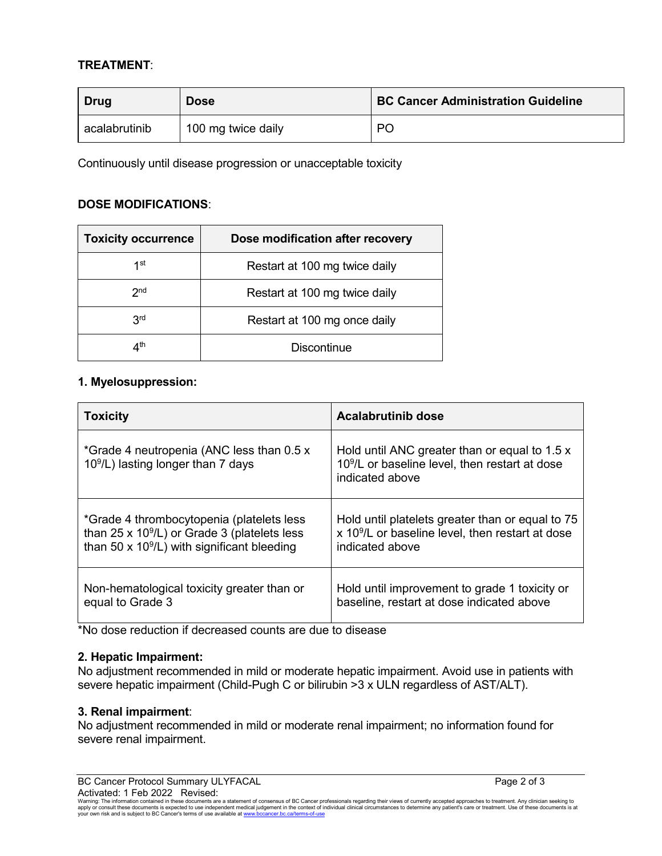# **TREATMENT**:

| Drug          | <b>Dose</b>        | <b>BC Cancer Administration Guideline</b> |
|---------------|--------------------|-------------------------------------------|
| acalabrutinib | 100 mg twice daily | PC                                        |

Continuously until disease progression or unacceptable toxicity

## **DOSE MODIFICATIONS**:

| <b>Toxicity occurrence</b> | Dose modification after recovery |
|----------------------------|----------------------------------|
| 1st                        | Restart at 100 mg twice daily    |
| 2 <sub>nd</sub>            | Restart at 100 mg twice daily    |
| 3 <sup>rd</sup>            | Restart at 100 mg once daily     |
| ⊿th                        | Discontinue                      |

# **1. Myelosuppression:**

| <b>Toxicity</b>                                                                   | <b>Acalabrutinib dose</b>                                                                                           |
|-----------------------------------------------------------------------------------|---------------------------------------------------------------------------------------------------------------------|
| *Grade 4 neutropenia (ANC less than 0.5 x<br>$109/L$ ) lasting longer than 7 days | Hold until ANC greater than or equal to 1.5 x<br>$109/L$ or baseline level, then restart at dose<br>indicated above |
| *Grade 4 thrombocytopenia (platelets less                                         | Hold until platelets greater than or equal to 75                                                                    |
| than 25 x $10^9$ /L) or Grade 3 (platelets less                                   | x 10 <sup>9</sup> /L or baseline level, then restart at dose                                                        |
| than 50 x $10^9$ /L) with significant bleeding                                    | indicated above                                                                                                     |
| Non-hematological toxicity greater than or                                        | Hold until improvement to grade 1 toxicity or                                                                       |
| equal to Grade 3                                                                  | baseline, restart at dose indicated above                                                                           |

\*No dose reduction if decreased counts are due to disease

## **2. Hepatic Impairment:**

No adjustment recommended in mild or moderate hepatic impairment. Avoid use in patients with severe hepatic impairment (Child-Pugh C or bilirubin >3 x ULN regardless of AST/ALT).

#### **3. Renal impairment**:

No adjustment recommended in mild or moderate renal impairment; no information found for severe renal impairment.

BC Cancer Protocol Summary ULYFACAL **Page 2 of 3** and 2 of 3 Activated: 1 Feb 2022 Revised:

Warning: The information contained in these documents are a statement of consensus of BC Cancer professionals regarding their views of currently accepted approaches to treatment. Any clinician seeking to<br>apply or consult t